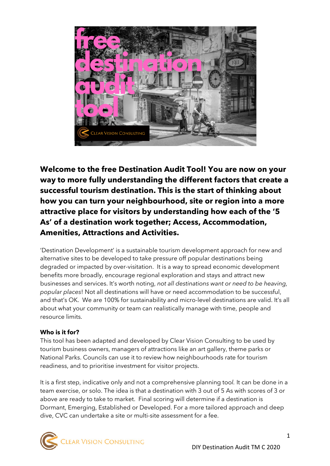

**Welcome to the free Destination Audit Tool! You are now on your way to more fully understanding the different factors that create a successful tourism destination. This is the start of thinking about how you can turn your neighbourhood, site or region into a more attractive place for visitors by understanding how each of the '5 As' of a destination work together; Access, Accommodation, Amenities, Attractions and Activities.**

'Destination Development' is a sustainable tourism development approach for new and alternative sites to be developed to take pressure off popular destinations being degraded or impacted by over-visitation. It is a way to spread economic development benefits more broadly, encourage regional exploration and stays and attract new businesses and services. It's worth noting, *not all destinations want or need to be heaving, popular places*! Not all destinations will have or need accommodation to be successful, and that's OK. We are 100% for sustainability and micro-level destinations are valid. It's all about what your community or team can realistically manage with time, people and resource limits.

### **Who is it for?**

This tool has been adapted and developed by Clear Vision Consulting to be used by tourism business owners, managers of attractions like an art gallery, theme parks or National Parks. Councils can use it to review how neighbourhoods rate for tourism readiness, and to prioritise investment for visitor projects.

It is a first step, indicative only and not a comprehensive planning too*l.* It can be done in a team exercise, or solo. The idea is that a destination with 3 out of 5 As with scores of 3 or above are ready to take to market. Final scoring will determine if a destination is Dormant, Emerging, Established or Developed. For a more tailored approach and deep dive, CVC can undertake a site or multi-site assessment for a fee.

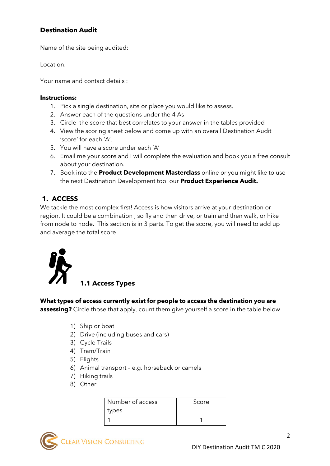# **Destination Audit**

Name of the site being audited:

Location:

Your name and contact details :

#### **Instructions:**

- 1. Pick a single destination, site or place you would like to assess.
- 2. Answer each of the questions under the 4 As
- 3. Circle the score that best correlates to your answer in the tables provided
- 4. View the scoring sheet below and come up with an overall Destination Audit 'score' for each 'A'.
- 5. You will have a score under each 'A'
- 6. Email me your score and I will complete the evaluation and book you a free consult about your destination.
- 7. Book into the **Product Development Masterclass** online or you might like to use the next Destination Development tool our **Product Experience Audit.**

## **1. ACCESS**

We tackle the most complex first! Access is how visitors arrive at your destination or region. It could be a combination , so fly and then drive, or train and then walk, or hike from node to node. This section is in 3 parts. To get the score, you will need to add up and average the total score



**1.1 Access Types**

### **What types of access currently exist for people to access the destination you are**

**assessing?** Circle those that apply, count them give yourself a score in the table below

- 1) Ship or boat
- 2) Drive (including buses and cars)
- 3) Cycle Trails
- 4) Tram/Train
- 5) Flights
- 6) Animal transport e.g. horseback or camels
- 7) Hiking trails
- 8) Other

| Number of access | Score |
|------------------|-------|
| types            |       |
|                  |       |

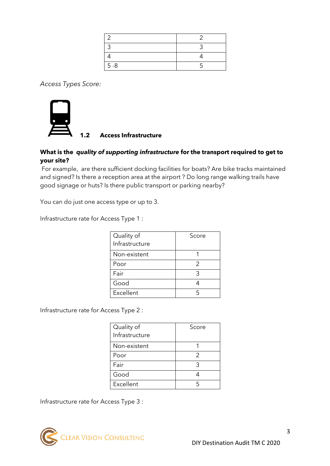| $5 - 8$ |  |
|---------|--|

*Access Types Score:* 



### **What is the** *quality of supporting infrastructure* **for the transport required to get to your site?**

For example, are there sufficient docking facilities for boats? Are bike tracks maintained and signed? Is there a reception area at the airport ? Do long range walking trails have good signage or huts? Is there public transport or parking nearby?

You can do just one access type or up to 3.

Infrastructure rate for Access Type 1 :

| Quality of     | Score |
|----------------|-------|
| Infrastructure |       |
| Non-existent   |       |
| Poor           | 2     |
| Fair           |       |
| Good           |       |
| Excellent      |       |

Infrastructure rate for Access Type 2 :

| Quality of     | Score |
|----------------|-------|
| Infrastructure |       |
| Non-existent   |       |
| Poor           | 2     |
| Fair           |       |
| Good           |       |
| Excellent      |       |

Infrastructure rate for Access Type 3 :

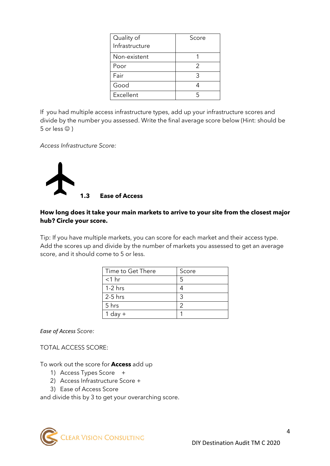| Quality of     | Score |
|----------------|-------|
| Infrastructure |       |
| Non-existent   |       |
| Poor           | 2     |
| Fair           |       |
| Good           |       |
| Excellent      |       |

If you had multiple access infrastructure types, add up your infrastructure scores and divide by the number you assessed. Write the final average score below (Hint: should be 5 or less  $\circledcirc$  )

*Access Infrastructure Score:*



### **How long does it take your main markets to arrive to your site from the closest major hub? Circle your score.**

Tip: If you have multiple markets, you can score for each market and their access type. Add the scores up and divide by the number of markets you assessed to get an average score, and it should come to 5 or less.

| Time to Get There | Score |
|-------------------|-------|
| $<$ 1 hr          |       |
| $1-2$ hrs         |       |
| $2-5$ hrs         |       |
| 5 hrs             |       |
| $1$ day $+$       |       |

*Ease of Access Score:*

TOTAL ACCESS SCORE:

To work out the score for **Access** add up

- 1) Access Types Score +
- 2) Access Infrastructure Score +
- 3) Ease of Access Score

and divide this by 3 to get your overarching score.

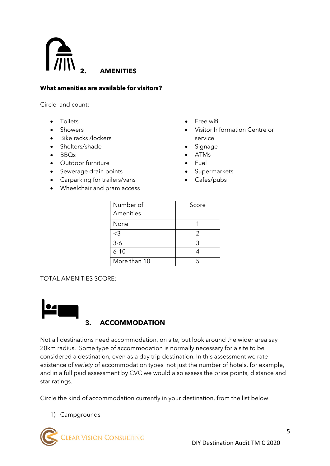

#### **What amenities are available for visitors?**

Circle and count:

- Toilets
- Showers
- Bike racks /lockers
- Shelters/shade
- BBQs
- Outdoor furniture
- Sewerage drain points
- Carparking for trailers/vans
- Wheelchair and pram access
- Free wifi
- Visitor Information Centre or service
- Signage
- ATMs
- Fuel
- **Supermarkets**
- Cafes/pubs

| Number of    | Score |
|--------------|-------|
| Amenities    |       |
| None         |       |
| $<$ 3        | 2     |
| $3-6$        | २     |
| $6 - 10$     |       |
| More than 10 |       |

TOTAL AMENITIES SCORE:



## **3. ACCOMMODATION**

Not all destinations need accommodation, on site, but look around the wider area say 20km radius. Some type of accommodation is normally necessary for a site to be considered a destination, even as a day trip destination. In this assessment we rate existence of *variety* of accommodation types not just the number of hotels, for example, and in a full paid assessment by CVC we would also assess the price points, distance and star ratings.

Circle the kind of accommodation currently in your destination, from the list below.

1) Campgrounds

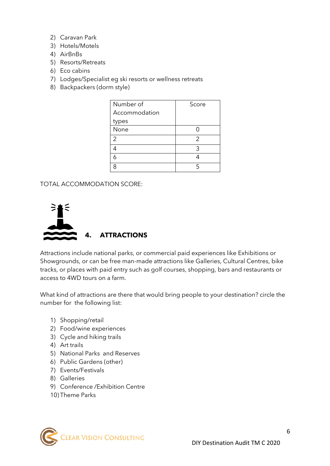- 2) Caravan Park
- 3) Hotels/Motels
- 4) AirBnBs
- 5) Resorts/Retreats
- 6) Eco cabins
- 7) Lodges/Specialist eg ski resorts or wellness retreats
- 8) Backpackers (dorm style)

| Number of     | Score |
|---------------|-------|
| Accommodation |       |
| types         |       |
| None          |       |
| 2             | 2     |
|               | ς     |
|               |       |
|               |       |

TOTAL ACCOMMODATION SCORE:



Attractions include national parks, or commercial paid experiences like Exhibitions or Showgrounds, or can be free man-made attractions like Galleries, Cultural Centres, bike tracks, or places with paid entry such as golf courses, shopping, bars and restaurants or access to 4WD tours on a farm.

What kind of attractions are there that would bring people to your destination? circle the number for the following list:

- 1) Shopping/retail
- 2) Food/wine experiences
- 3) Cycle and hiking trails
- 4) Art trails
- 5) National Parks and Reserves
- 6) Public Gardens (other)
- 7) Events/Festivals
- 8) Galleries
- 9) Conference /Exhibition Centre
- 10) Theme Parks

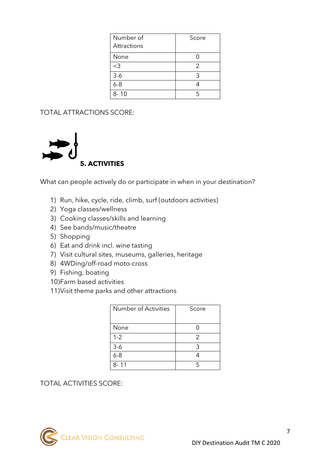| Number of   | Score |
|-------------|-------|
| Attractions |       |
| None        |       |
| $<$ 3       | 2     |
| $3-6$       | 3     |
| $6 - 8$     |       |
| $8 - 10$    |       |

TOTAL ATTRACTIONS SCORE:



What can people actively do or participate in when in your destination?

- 1) Run, hike, cycle, ride, climb, surf (outdoors activities)
- 2) Yoga classes/wellness
- 3) Cooking classes/skills and learning
- 4) See bands/music/theatre
- 5) Shopping
- 6) Eat and drink incl. wine tasting
- 7) Visit cultural sites, museums, galleries, heritage
- 8) 4WDing/off-road moto-cross
- 9) Fishing, boating
- 10)Farm based activities
- 11)Visit theme parks and other attractions

| Score |
|-------|
|       |
| 2     |
| 3     |
|       |
|       |
|       |

TOTAL ACTIVITIES SCORE: